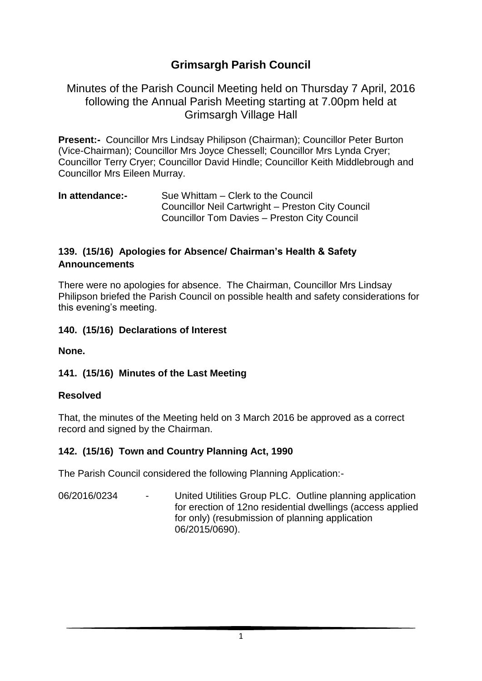# **Grimsargh Parish Council**

#### Minutes of the Parish Council Meeting held on Thursday 7 April, 2016 following the Annual Parish Meeting starting at 7.00pm held at Grimsargh Village Hall

**Present:-** Councillor Mrs Lindsay Philipson (Chairman); Councillor Peter Burton (Vice-Chairman); Councillor Mrs Joyce Chessell; Councillor Mrs Lynda Cryer; Councillor Terry Cryer; Councillor David Hindle; Councillor Keith Middlebrough and Councillor Mrs Eileen Murray.

#### **In attendance:-** Sue Whittam – Clerk to the Council Councillor Neil Cartwright – Preston City Council Councillor Tom Davies – Preston City Council

#### **139. (15/16) Apologies for Absence/ Chairman's Health & Safety Announcements**

There were no apologies for absence. The Chairman, Councillor Mrs Lindsay Philipson briefed the Parish Council on possible health and safety considerations for this evening's meeting.

**140. (15/16) Declarations of Interest** 

**None.**

#### **141. (15/16) Minutes of the Last Meeting**

#### **Resolved**

That, the minutes of the Meeting held on 3 March 2016 be approved as a correct record and signed by the Chairman.

#### **142. (15/16) Town and Country Planning Act, 1990**

The Parish Council considered the following Planning Application:-

06/2016/0234 - United Utilities Group PLC. Outline planning application for erection of 12no residential dwellings (access applied for only) (resubmission of planning application 06/2015/0690).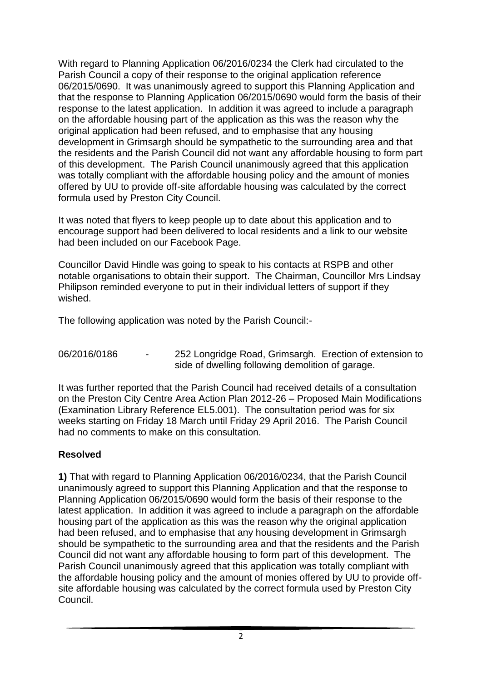With regard to Planning Application 06/2016/0234 the Clerk had circulated to the Parish Council a copy of their response to the original application reference 06/2015/0690. It was unanimously agreed to support this Planning Application and that the response to Planning Application 06/2015/0690 would form the basis of their response to the latest application. In addition it was agreed to include a paragraph on the affordable housing part of the application as this was the reason why the original application had been refused, and to emphasise that any housing development in Grimsargh should be sympathetic to the surrounding area and that the residents and the Parish Council did not want any affordable housing to form part of this development. The Parish Council unanimously agreed that this application was totally compliant with the affordable housing policy and the amount of monies offered by UU to provide off-site affordable housing was calculated by the correct formula used by Preston City Council.

It was noted that flyers to keep people up to date about this application and to encourage support had been delivered to local residents and a link to our website had been included on our Facebook Page.

Councillor David Hindle was going to speak to his contacts at RSPB and other notable organisations to obtain their support. The Chairman, Councillor Mrs Lindsay Philipson reminded everyone to put in their individual letters of support if they wished.

The following application was noted by the Parish Council:-

06/2016/0186 - 252 Longridge Road, Grimsargh. Erection of extension to side of dwelling following demolition of garage.

It was further reported that the Parish Council had received details of a consultation on the Preston City Centre Area Action Plan 2012-26 – Proposed Main Modifications (Examination Library Reference EL5.001). The consultation period was for six weeks starting on Friday 18 March until Friday 29 April 2016. The Parish Council had no comments to make on this consultation.

#### **Resolved**

**1)** That with regard to Planning Application 06/2016/0234, that the Parish Council unanimously agreed to support this Planning Application and that the response to Planning Application 06/2015/0690 would form the basis of their response to the latest application. In addition it was agreed to include a paragraph on the affordable housing part of the application as this was the reason why the original application had been refused, and to emphasise that any housing development in Grimsargh should be sympathetic to the surrounding area and that the residents and the Parish Council did not want any affordable housing to form part of this development. The Parish Council unanimously agreed that this application was totally compliant with the affordable housing policy and the amount of monies offered by UU to provide offsite affordable housing was calculated by the correct formula used by Preston City Council.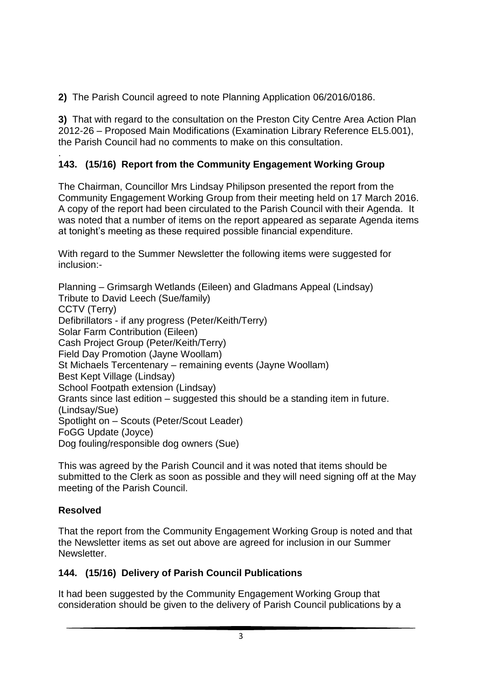**2)** The Parish Council agreed to note Planning Application 06/2016/0186.

**3)** That with regard to the consultation on the Preston City Centre Area Action Plan 2012-26 – Proposed Main Modifications (Examination Library Reference EL5.001), the Parish Council had no comments to make on this consultation.

#### . **143. (15/16) Report from the Community Engagement Working Group**

The Chairman, Councillor Mrs Lindsay Philipson presented the report from the Community Engagement Working Group from their meeting held on 17 March 2016. A copy of the report had been circulated to the Parish Council with their Agenda. It was noted that a number of items on the report appeared as separate Agenda items at tonight's meeting as these required possible financial expenditure.

With regard to the Summer Newsletter the following items were suggested for inclusion:-

Planning – Grimsargh Wetlands (Eileen) and Gladmans Appeal (Lindsay) Tribute to David Leech (Sue/family) CCTV (Terry) Defibrillators - if any progress (Peter/Keith/Terry) Solar Farm Contribution (Eileen) Cash Project Group (Peter/Keith/Terry) Field Day Promotion (Jayne Woollam) St Michaels Tercentenary – remaining events (Jayne Woollam) Best Kept Village (Lindsay) School Footpath extension (Lindsay) Grants since last edition – suggested this should be a standing item in future. (Lindsay/Sue) Spotlight on – Scouts (Peter/Scout Leader) FoGG Update (Joyce) Dog fouling/responsible dog owners (Sue)

This was agreed by the Parish Council and it was noted that items should be submitted to the Clerk as soon as possible and they will need signing off at the May meeting of the Parish Council.

## **Resolved**

That the report from the Community Engagement Working Group is noted and that the Newsletter items as set out above are agreed for inclusion in our Summer Newsletter.

## **144. (15/16) Delivery of Parish Council Publications**

It had been suggested by the Community Engagement Working Group that consideration should be given to the delivery of Parish Council publications by a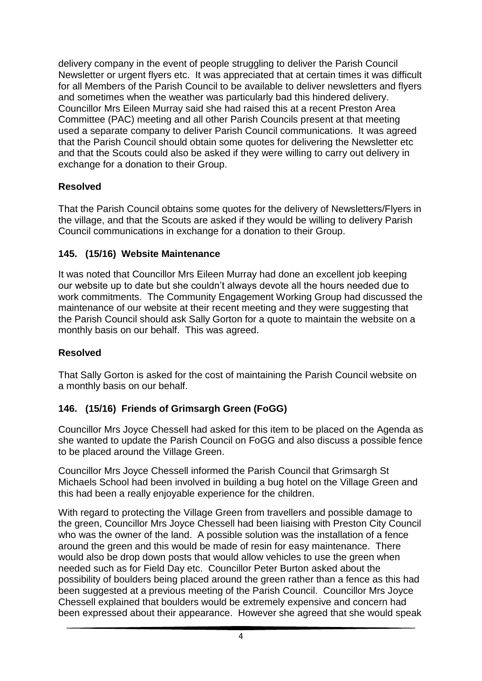delivery company in the event of people struggling to deliver the Parish Council Newsletter or urgent flyers etc. It was appreciated that at certain times it was difficult for all Members of the Parish Council to be available to deliver newsletters and flyers and sometimes when the weather was particularly bad this hindered delivery. Councillor Mrs Eileen Murray said she had raised this at a recent Preston Area Committee (PAC) meeting and all other Parish Councils present at that meeting used a separate company to deliver Parish Council communications. It was agreed that the Parish Council should obtain some quotes for delivering the Newsletter etc and that the Scouts could also be asked if they were willing to carry out delivery in exchange for a donation to their Group.

## **Resolved**

That the Parish Council obtains some quotes for the delivery of Newsletters/Flyers in the village, and that the Scouts are asked if they would be willing to delivery Parish Council communications in exchange for a donation to their Group.

## **145. (15/16) Website Maintenance**

It was noted that Councillor Mrs Eileen Murray had done an excellent job keeping our website up to date but she couldn't always devote all the hours needed due to work commitments. The Community Engagement Working Group had discussed the maintenance of our website at their recent meeting and they were suggesting that the Parish Council should ask Sally Gorton for a quote to maintain the website on a monthly basis on our behalf. This was agreed.

## **Resolved**

That Sally Gorton is asked for the cost of maintaining the Parish Council website on a monthly basis on our behalf.

## **146. (15/16) Friends of Grimsargh Green (FoGG)**

Councillor Mrs Joyce Chessell had asked for this item to be placed on the Agenda as she wanted to update the Parish Council on FoGG and also discuss a possible fence to be placed around the Village Green.

Councillor Mrs Joyce Chessell informed the Parish Council that Grimsargh St Michaels School had been involved in building a bug hotel on the Village Green and this had been a really enjoyable experience for the children.

With regard to protecting the Village Green from travellers and possible damage to the green, Councillor Mrs Joyce Chessell had been liaising with Preston City Council who was the owner of the land. A possible solution was the installation of a fence around the green and this would be made of resin for easy maintenance. There would also be drop down posts that would allow vehicles to use the green when needed such as for Field Day etc. Councillor Peter Burton asked about the possibility of boulders being placed around the green rather than a fence as this had been suggested at a previous meeting of the Parish Council. Councillor Mrs Joyce Chessell explained that boulders would be extremely expensive and concern had been expressed about their appearance. However she agreed that she would speak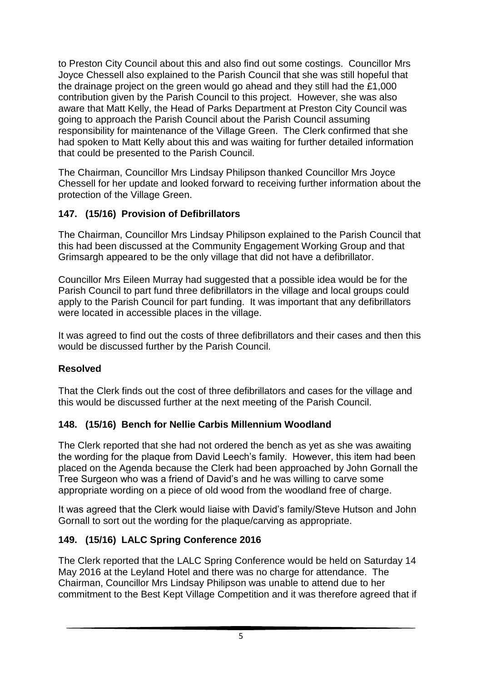to Preston City Council about this and also find out some costings. Councillor Mrs Joyce Chessell also explained to the Parish Council that she was still hopeful that the drainage project on the green would go ahead and they still had the £1,000 contribution given by the Parish Council to this project. However, she was also aware that Matt Kelly, the Head of Parks Department at Preston City Council was going to approach the Parish Council about the Parish Council assuming responsibility for maintenance of the Village Green. The Clerk confirmed that she had spoken to Matt Kelly about this and was waiting for further detailed information that could be presented to the Parish Council.

The Chairman, Councillor Mrs Lindsay Philipson thanked Councillor Mrs Joyce Chessell for her update and looked forward to receiving further information about the protection of the Village Green.

#### **147. (15/16) Provision of Defibrillators**

The Chairman, Councillor Mrs Lindsay Philipson explained to the Parish Council that this had been discussed at the Community Engagement Working Group and that Grimsargh appeared to be the only village that did not have a defibrillator.

Councillor Mrs Eileen Murray had suggested that a possible idea would be for the Parish Council to part fund three defibrillators in the village and local groups could apply to the Parish Council for part funding. It was important that any defibrillators were located in accessible places in the village.

It was agreed to find out the costs of three defibrillators and their cases and then this would be discussed further by the Parish Council.

#### **Resolved**

That the Clerk finds out the cost of three defibrillators and cases for the village and this would be discussed further at the next meeting of the Parish Council.

#### **148. (15/16) Bench for Nellie Carbis Millennium Woodland**

The Clerk reported that she had not ordered the bench as yet as she was awaiting the wording for the plaque from David Leech's family. However, this item had been placed on the Agenda because the Clerk had been approached by John Gornall the Tree Surgeon who was a friend of David's and he was willing to carve some appropriate wording on a piece of old wood from the woodland free of charge.

It was agreed that the Clerk would liaise with David's family/Steve Hutson and John Gornall to sort out the wording for the plaque/carving as appropriate.

## **149. (15/16) LALC Spring Conference 2016**

The Clerk reported that the LALC Spring Conference would be held on Saturday 14 May 2016 at the Leyland Hotel and there was no charge for attendance. The Chairman, Councillor Mrs Lindsay Philipson was unable to attend due to her commitment to the Best Kept Village Competition and it was therefore agreed that if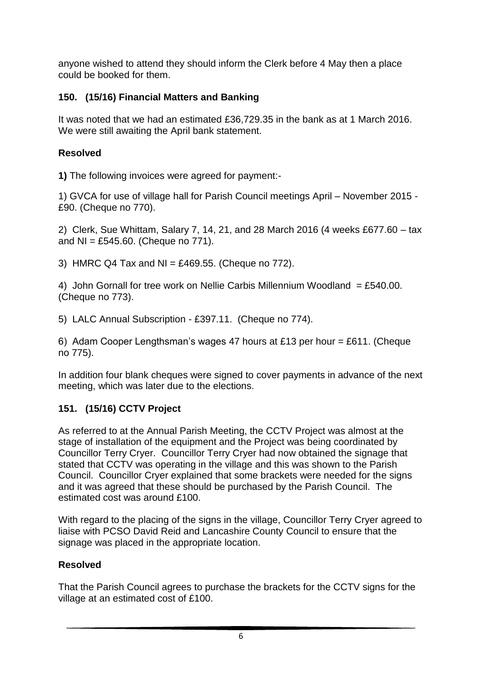anyone wished to attend they should inform the Clerk before 4 May then a place could be booked for them.

## **150. (15/16) Financial Matters and Banking**

It was noted that we had an estimated £36,729.35 in the bank as at 1 March 2016. We were still awaiting the April bank statement.

## **Resolved**

**1)** The following invoices were agreed for payment:-

1) GVCA for use of village hall for Parish Council meetings April – November 2015 - £90. (Cheque no 770).

2) Clerk, Sue Whittam, Salary 7, 14, 21, and 28 March 2016 (4 weeks £677.60 – tax and  $NI = £545.60$ . (Cheque no 771).

3) HMRC Q4 Tax and NI =  $£469.55$ . (Cheque no 772).

4) John Gornall for tree work on Nellie Carbis Millennium Woodland = £540.00. (Cheque no 773).

5) LALC Annual Subscription - £397.11. (Cheque no 774).

6) Adam Cooper Lengthsman's wages 47 hours at £13 per hour = £611. (Cheque no 775).

In addition four blank cheques were signed to cover payments in advance of the next meeting, which was later due to the elections.

# **151. (15/16) CCTV Project**

As referred to at the Annual Parish Meeting, the CCTV Project was almost at the stage of installation of the equipment and the Project was being coordinated by Councillor Terry Cryer. Councillor Terry Cryer had now obtained the signage that stated that CCTV was operating in the village and this was shown to the Parish Council. Councillor Cryer explained that some brackets were needed for the signs and it was agreed that these should be purchased by the Parish Council. The estimated cost was around £100.

With regard to the placing of the signs in the village, Councillor Terry Cryer agreed to liaise with PCSO David Reid and Lancashire County Council to ensure that the signage was placed in the appropriate location.

# **Resolved**

That the Parish Council agrees to purchase the brackets for the CCTV signs for the village at an estimated cost of £100.